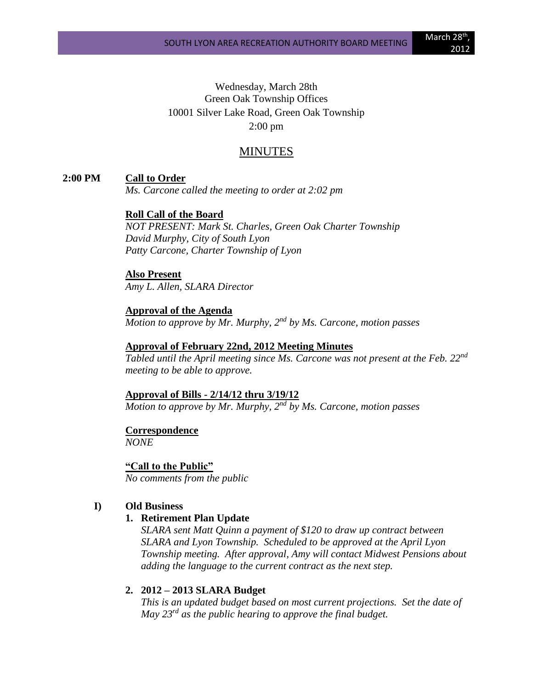Wednesday, March 28th Green Oak Township Offices 10001 Silver Lake Road, Green Oak Township 2:00 pm

### MINUTES

### **2:00 PM Call to Order**

*Ms. Carcone called the meeting to order at 2:02 pm*

### **Roll Call of the Board**

*NOT PRESENT: Mark St. Charles, Green Oak Charter Township David Murphy, City of South Lyon Patty Carcone, Charter Township of Lyon*

#### **Also Present**

*Amy L. Allen, SLARA Director*

# **Approval of the Agenda**

*Motion to approve by Mr. Murphy, 2nd by Ms. Carcone, motion passes*

#### **Approval of February 22nd, 2012 Meeting Minutes**

*Tabled until the April meeting since Ms. Carcone was not present at the Feb. 22nd meeting to be able to approve.*

#### **Approval of Bills - 2/14/12 thru 3/19/12**

*Motion to approve by Mr. Murphy, 2nd by Ms. Carcone, motion passes*

### **Correspondence**

*NONE*

#### **"Call to the Public"**

*No comments from the public*

#### **I) Old Business**

### **1. Retirement Plan Update**

*SLARA sent Matt Quinn a payment of \$120 to draw up contract between SLARA and Lyon Township. Scheduled to be approved at the April Lyon Township meeting. After approval, Amy will contact Midwest Pensions about adding the language to the current contract as the next step.* 

#### **2. 2012 – 2013 SLARA Budget**

*This is an updated budget based on most current projections. Set the date of May 23rd as the public hearing to approve the final budget.*